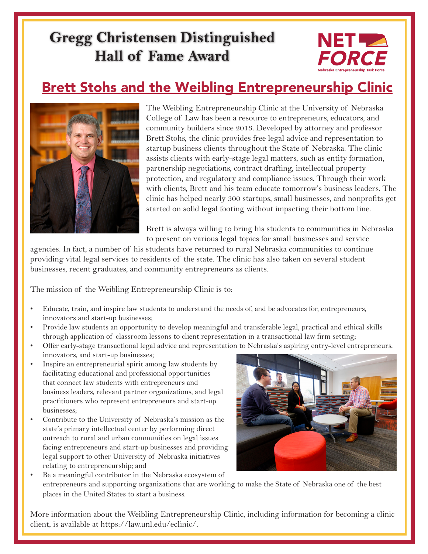## **Gregg Christensen Distinguished Hall of Fame Award**



#### Brett Stohs and the Weibling Entrepreneurship Clinic



The Weibling Entrepreneurship Clinic at the University of Nebraska College of Law has been a resource to entrepreneurs, educators, and community builders since 2013. Developed by attorney and professor Brett Stohs, the clinic provides free legal advice and representation to startup business clients throughout the State of Nebraska. The clinic assists clients with early-stage legal matters, such as entity formation, partnership negotiations, contract drafting, intellectual property protection, and regulatory and compliance issues. Through their work with clients, Brett and his team educate tomorrow's business leaders. The clinic has helped nearly 300 startups, small businesses, and nonprofits get started on solid legal footing without impacting their bottom line.

Brett is always willing to bring his students to communities in Nebraska to present on various legal topics for small businesses and service

agencies. In fact, a number of his students have returned to rural Nebraska communities to continue providing vital legal services to residents of the state. The clinic has also taken on several student businesses, recent graduates, and community entrepreneurs as clients.

The mission of the Weibling Entrepreneurship Clinic is to:

- Educate, train, and inspire law students to understand the needs of, and be advocates for, entrepreneurs, innovators and start-up businesses;
- Provide law students an opportunity to develop meaningful and transferable legal, practical and ethical skills through application of classroom lessons to client representation in a transactional law firm setting;
- Offer early-stage transactional legal advice and representation to Nebraska's aspiring entry-level entrepreneurs, innovators, and start-up businesses;
- Inspire an entrepreneurial spirit among law students by facilitating educational and professional opportunities that connect law students with entrepreneurs and business leaders, relevant partner organizations, and legal practitioners who represent entrepreneurs and start-up businesses;
- Contribute to the University of Nebraska's mission as the state's primary intellectual center by performing direct outreach to rural and urban communities on legal issues facing entrepreneurs and start-up businesses and providing legal support to other University of Nebraska initiatives relating to entrepreneurship; and



Be a meaningful contributor in the Nebraska ecosystem of entrepreneurs and supporting organizations that are working to make the State of Nebraska one of the best places in the United States to start a business.

More information about the Weibling Entrepreneurship Clinic, including information for becoming a clinic client, is available at https://law.unl.edu/eclinic/.